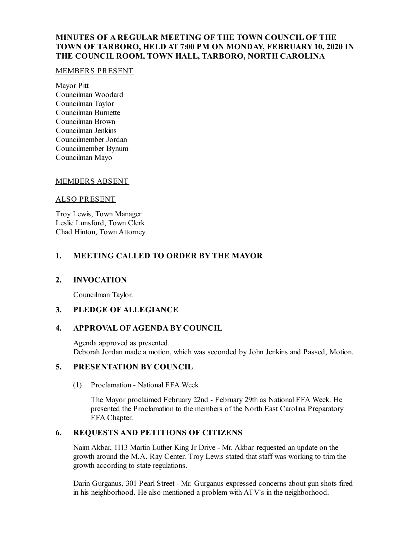# **MINUTES OF A REGULAR MEETING OF THE TOWN COUNCIL OF THE TOWN OF TARBORO, HELD AT 7:00 PM ON MONDAY, FEBRUARY10, 2020 IN THE COUNCIL ROOM, TOWN HALL, TARBORO, NORTH CAROLINA**

#### MEMBERS PRESENT

Mayor Pitt Councilman Woodard Councilman Taylor Councilman Burnette Councilman Brown Councilman Jenkins Councilmember Jordan Councilmember Bynum Councilman Mayo

## MEMBERS ABSENT

#### ALSO PRESENT

Troy Lewis, Town Manager Leslie Lunsford, Town Clerk Chad Hinton, Town Attorney

# **1. MEETING CALLED TO ORDER BY THE MAYOR**

## **2. INVOCATION**

Councilman Taylor.

## **3. PLEDGE OF ALLEGIANCE**

## **4. APPROVAL OF AGENDA BY COUNCIL**

Agenda approved as presented. Deborah Jordan made a motion, which was seconded by John Jenkins and Passed, Motion.

## **5. PRESENTATION BY COUNCIL**

(1) Proclamation - National FFA Week

The Mayor proclaimed February 22nd - February 29th as National FFA Week. He presented the Proclamation to the members of the North East Carolina Preparatory FFA Chapter.

## **6. REQUESTS AND PETITIONS OF CITIZENS**

Naim Akbar, 1113 Martin Luther King Jr Drive - Mr. Akbar requested an update on the growth around the M.A. Ray Center. Troy Lewis stated that staff was working to trim the growth according to state regulations.

Darin Gurganus, 301 Pearl Street - Mr. Gurganus expressed concerns about gun shots fired in his neighborhood. He also mentioned a problem with ATV's in the neighborhood.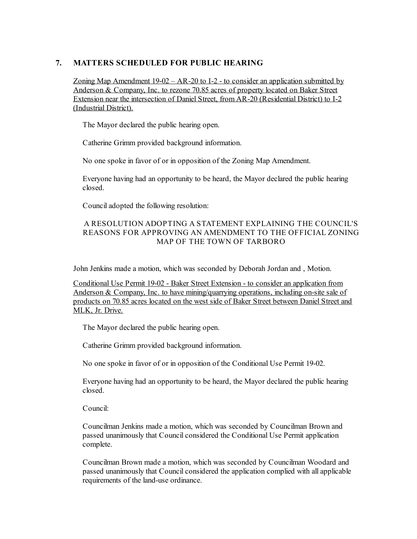# **7. MATTERS SCHEDULED FOR PUBLIC HEARING**

Zoning Map Amendment  $19-02 - AR-20$  to I-2 - to consider an application submitted by Anderson & Company, Inc. to rezone 70.85 acres of property located on Baker Street Extension near the intersection of Daniel Street, from AR-20 (Residential District) to I-2 (Industrial District).

The Mayor declared the public hearing open.

Catherine Grimm provided background information.

No one spoke in favor of or in opposition of the Zoning Map Amendment.

Everyone having had an opportunity to be heard, the Mayor declared the public hearing closed.

Counciladopted the following resolution:

## A RESOLUTION ADOPTING A STATEMENT EXPLAINING THE COUNCIL'S REASONS FOR APPROVING AN AMENDMENT TO THE OFFICIAL ZONING MAP OF THE TOWN OF TARBORO

John Jenkins made a motion, which was seconded by Deborah Jordan and , Motion.

Conditional Use Permit 19-02 - Baker Street Extension - to consider an application from Anderson & Company, Inc. to have mining/quarrying operations, including on-site sale of products on 70.85 acres located on the west side of Baker Street between Daniel Street and MLK, Jr. Drive.

The Mayor declared the public hearing open.

Catherine Grimm provided background information.

No one spoke in favor of or in opposition of the Conditional Use Permit 19-02.

Everyone having had an opportunity to be heard, the Mayor declared the public hearing closed.

Council:

Councilman Jenkins made a motion, which was seconded by Councilman Brown and passed unanimously that Council considered the Conditional Use Permit application complete.

Councilman Brown made a motion, which was seconded by Councilman Woodard and passed unanimously that Council considered the application complied with all applicable requirements of the land-use ordinance.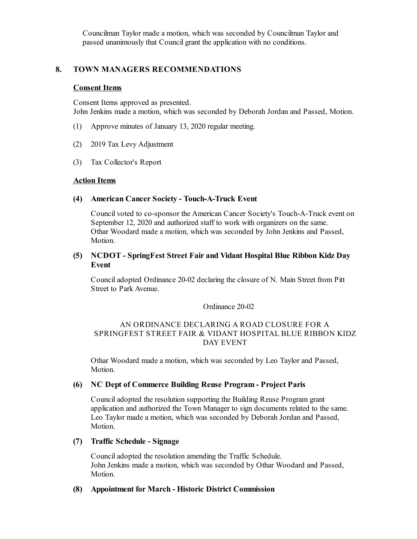Councilman Taylor made a motion, which was seconded by Councilman Taylor and passed unanimously that Council grant the application with no conditions.

### **8. TOWN MANAGERS RECOMMENDATIONS**

#### **Consent Items**

Consent Items approved as presented. John Jenkins made a motion, which was seconded by Deborah Jordan and Passed, Motion.

- (1) Approve minutes of January 13, 2020 regular meeting.
- (2) 2019 Tax Levy Adjustment
- (3) Tax Collector's Report

#### **Action Items**

#### **(4) American Cancer Society - Touch-A-Truck Event**

Council voted to co-sponsor the American Cancer Society's Touch-A-Truck event on September 12, 2020 and authorized staff to work with organizers on the same. Othar Woodard made a motion, which was seconded by John Jenkins and Passed, Motion.

### **(5) NCDOT - SpringFest Street Fair and Vidant Hospital Blue Ribbon Kidz Day Event**

Counciladopted Ordinance 20-02 declaring the closure of N. Main Street from Pitt Street to Park Avenue.

#### Ordinance 20-02

### AN ORDINANCE DECLARING A ROAD CLOSURE FOR A SPRINGFEST STREET FAIR & VIDANT HOSPITAL BLUE RIBBON KIDZ DAY EVENT

Othar Woodard made a motion, which was seconded by Leo Taylor and Passed, Motion.

#### **(6) NC Dept of Commerce Building Reuse Program - Project Paris**

Counciladopted the resolution supporting the Building Reuse Program grant application and authorized the Town Manager to sign documents related to the same. Leo Taylor made a motion, which was seconded by Deborah Jordan and Passed, Motion.

### **(7) Traffic Schedule - Signage**

Counciladopted the resolution amending the Traffic Schedule. John Jenkins made a motion, which was seconded by Othar Woodard and Passed, Motion.

#### **(8) Appointment for March - Historic District Commission**